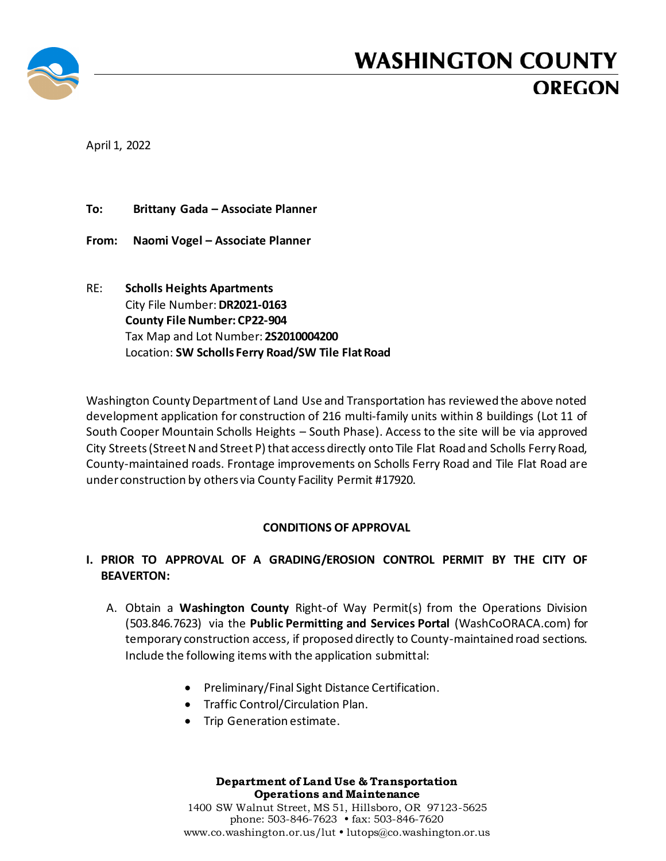

## **WASHINGTON COUNTY OREGON**

April 1, 2022

**To: Brittany Gada – Associate Planner**

**From: Naomi Vogel – Associate Planner**

RE: **Scholls Heights Apartments** City File Number:**DR2021-0163 County File Number: CP22-904** Tax Map and Lot Number: **2S2010004200** Location: **SW Scholls Ferry Road/SW Tile Flat Road**

Washington County Department of Land Use and Transportation has reviewed the above noted development application for construction of 216 multi-family units within 8 buildings (Lot 11 of South Cooper Mountain Scholls Heights – South Phase). Access to the site will be via approved City Streets (Street N and Street P) that access directly onto Tile Flat Road and Scholls Ferry Road, County-maintained roads. Frontage improvements on Scholls Ferry Road and Tile Flat Road are under construction by others via County Facility Permit #17920.

## **CONDITIONS OF APPROVAL**

## **I. PRIOR TO APPROVAL OF A GRADING/EROSION CONTROL PERMIT BY THE CITY OF BEAVERTON:**

- A. Obtain a **Washington County** Right-of Way Permit(s) from the Operations Division (503.846.7623) via the **Public Permitting and Services Portal** (WashCoORACA.com) for temporary construction access, if proposed directly to County-maintained road sections. Include the following items with the application submittal:
	- Preliminary/Final Sight Distance Certification.
	- Traffic Control/Circulation Plan.
	- Trip Generation estimate.

## **Department of Land Use & Transportation Operations and Maintenance**

1400 SW Walnut Street, MS 51, Hillsboro, OR 97123-5625 phone: 503-846-7623 • fax: 503-846-7620 [www.co.washington.or.us/](http://www.co.washington.or.us/)lut • lutops@co.washington.or.us